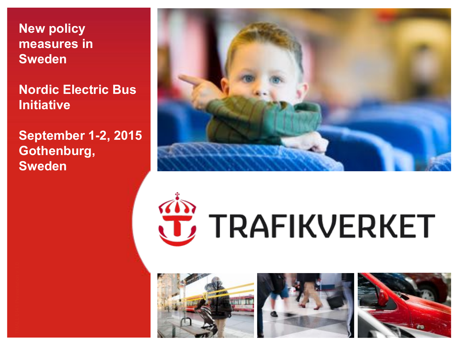**New policy measures in Sweden** 

**Nordic Electric Bus Initiative** 

**September 1-2, 2015 Gothenburg, Sweden** 



# **JE** TRAFIKVERKET





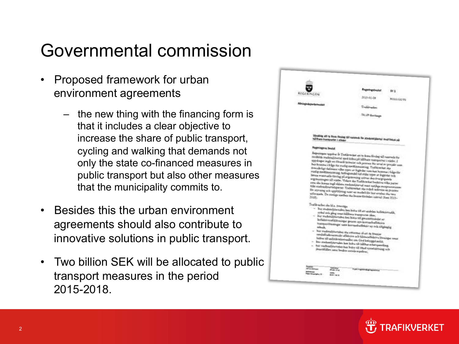### Governmental commission

- Proposed framework for urban environment agreements
	- the new thing with the financing form is that it includes a clear objective to increase the share of public transport, cycling and walking that demands not only the state co-financed measures in public transport but also other measures that the municipality commits to.
- Besides this the urban environment agreements should also contribute to innovative solutions in public transport.
- Two billion SEK will be allocated to public transport measures in the period 2015-2018.

|                             |                                             | <b>Engeningsbesiet</b>                                                                                                                                                                                                                                                                                                                                                                                                                                                                                                                                                                                                                                                                                                                     | 88 2      |
|-----------------------------|---------------------------------------------|--------------------------------------------------------------------------------------------------------------------------------------------------------------------------------------------------------------------------------------------------------------------------------------------------------------------------------------------------------------------------------------------------------------------------------------------------------------------------------------------------------------------------------------------------------------------------------------------------------------------------------------------------------------------------------------------------------------------------------------------|-----------|
| REGERINGEN                  |                                             | 2013-01-08                                                                                                                                                                                                                                                                                                                                                                                                                                                                                                                                                                                                                                                                                                                                 | NISSANDIN |
| <b>Näringsdeportementel</b> |                                             | <b>Trafcktronikeri</b>                                                                                                                                                                                                                                                                                                                                                                                                                                                                                                                                                                                                                                                                                                                     |           |
|                             |                                             | 781 St Berlings                                                                                                                                                                                                                                                                                                                                                                                                                                                                                                                                                                                                                                                                                                                            |           |
| <b>Regeningents besite</b>  |                                             | Uppdrag att to from förstag till comment för stademitjitertal med fokus på<br>Reguesingen uppdrar är Trafikovelser att ta fram föreäng till nusevads för<br>strekulde stademilidertal med folms på hållbane transporter i ståder. I                                                                                                                                                                                                                                                                                                                                                                                                                                                                                                        |           |
| 2048 <sub>1</sub>           |                                             | appointed ingle at freezil knowier och process för saval er preside som<br>kes komme i fråge för medig medfitemmering. Trafikreviset ska<br>dversårligt definiers vilke typer av årglinder nom han kommte i folga för<br>statig medfaunsiering, bultspandel tul olika typer er ätgisder och<br>laters eventuelle fitcheg på ergrinnening untexe den övergrinnede<br>angekaningan till måder. Vidare ska Trafikrerker beskriva vidas parter<br>nes ska konza osgl slobes readendetered soon subjegs meteoronismus<br>fala stadousloverschpatter. Traditoreket ska ockal redovna en process<br>for styrning och uppföljning samt en modell för hur avraben vita vara<br>wifermals. De statige medica ska kansa finishke i nistol (lova 2015- |           |
|                             | Toddowler the bl.s. Owevage                 | $\sim$ but stades<br>algoritates has balts till att andeles kullekterradik,<br>sykel och gång sone idlibure iransperter ikar,<br>- hur stadendetertalen kan bidte till genendetemäst av<br>kollektivtoafiklosningar genem nya kontrashediskova<br>transportionings: sent korreadmibility ay och tiligänglig<br>- her studendstavialen der utbecare di ett de bitesjut                                                                                                                                                                                                                                                                                                                                                                      |           |
| and the                     | streetlidher some beakte invisite aspektes, | senball rekoncession effektiva och käntatellektiva läntsiger sena<br>bidiur till möstlendestendet om God bebyggd möst.<br>har stadoualthertales has bolts till bliftet athenyending.<br>- har starkenildertake kas balta till dånd synadsättning och                                                                                                                                                                                                                                                                                                                                                                                                                                                                                       |           |

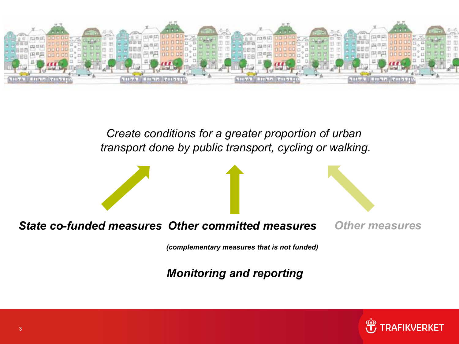

*Create conditions for a greater proportion of urban transport done by public transport, cycling or walking.*



#### *State co-funded measures Other committed measures*

*(complementary measures that is not funded)*

*Monitoring and reporting*

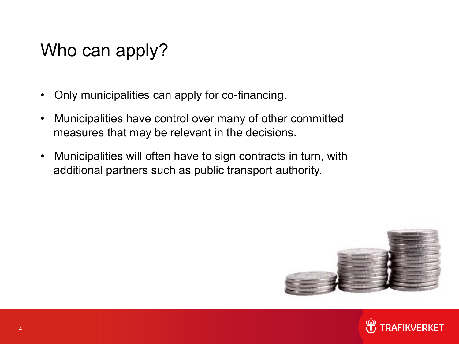# Who can apply?

- Only municipalities can apply for co-financing.
- Municipalities have control over many of other committed measures that may be relevant in the decisions.
- Municipalities will often have to sign contracts in turn, with additional partners such as public transport authority.



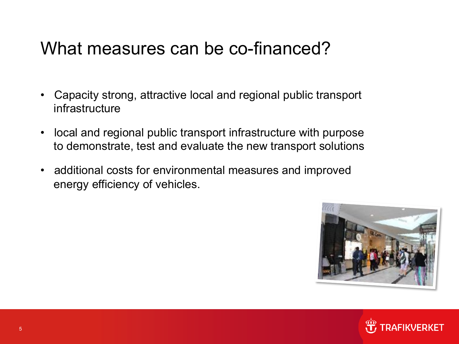### What measures can be co-financed?

- Capacity strong, attractive local and regional public transport infrastructure
- local and regional public transport infrastructure with purpose to demonstrate, test and evaluate the new transport solutions
- additional costs for environmental measures and improved energy efficiency of vehicles.



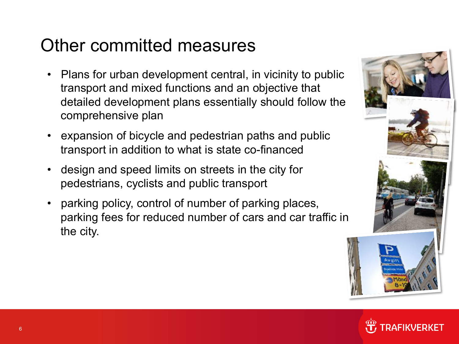# Other committed measures

- Plans for urban development central, in vicinity to public transport and mixed functions and an objective that detailed development plans essentially should follow the comprehensive plan
- expansion of bicycle and pedestrian paths and public transport in addition to what is state co-financed
- design and speed limits on streets in the city for pedestrians, cyclists and public transport
- parking policy, control of number of parking places, parking fees for reduced number of cars and car traffic in the city.



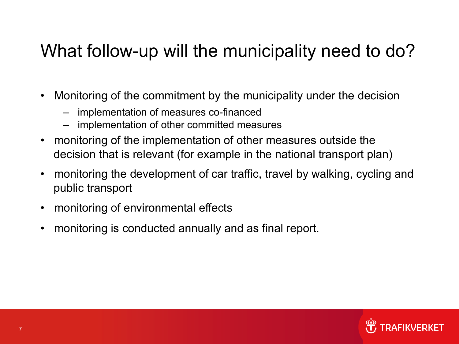# What follow-up will the municipality need to do?

- Monitoring of the commitment by the municipality under the decision
	- implementation of measures co-financed
	- implementation of other committed measures
- monitoring of the implementation of other measures outside the decision that is relevant (for example in the national transport plan)
- monitoring the development of car traffic, travel by walking, cycling and public transport
- monitoring of environmental effects
- monitoring is conducted annually and as final report.